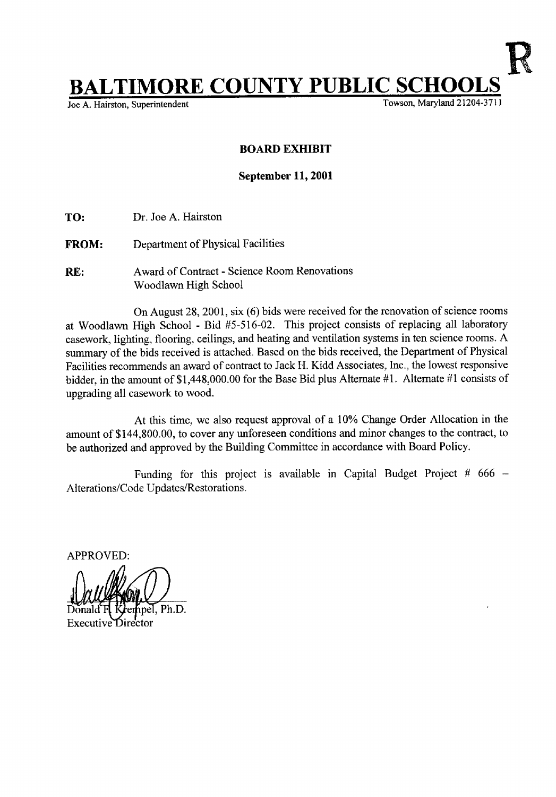## $\textcolor{red}{\displaystyle\coprod\textbf{MORE}\ \textbf{COUNTY}\ \textbf{PUBLIC}\ \textbf{SCHOOLS}\ \textcolor{red}{\displaystyle\prod\limits_{\text{Towson, Maryland 21204-3711}}$

Joe A. Hairston, Superintendent

## BOARD EXHIBIT

## September 11, 2001

- TO: Dr. Joe A. Hairston
- FROM: Department of Physical Facilities
- RE: Award of Contract Science Room Renovations Woodlawn High School

On August 28, 2001, six (6) bids were received for the renovation of science rooms at Woodlawn High School - Bid #5-516-02 . This project consists of replacing all laboratory casework, lighting, flooring, ceilings, and heating and ventilation systems in ten science rooms. A summary of the bids received is attached. Based on the bids received, the Department of Physical Facilities recommends an award of contract to Jack H. Kidd Associates, Inc., the lowest responsive bidder, in the amount of \$1,448,000.00 for the Base Bid plus Alternate #1 . Alternate #1 consists of upgrading all casework to wood.

At this time, we also request approval of a 10% Change Order Allocation in the amount of \$144,800.00, to cover any unforeseen conditions and minor changes to the contract, to be authorized and approved by the Building Committee in accordance with Board Policy.

Funding for this project is available in Capital Budget Project #  $666 -$ Alterations/Code Updates/Restorations.

APPROVED:

 $. Ph.D.$ Executive Di